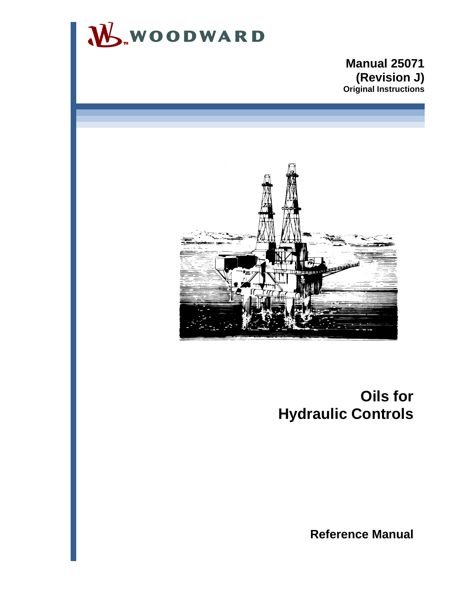

## **Manual 25071 (Revision J) Original Instructions**



## **Oils for Hydraulic Controls**

**Reference Manual**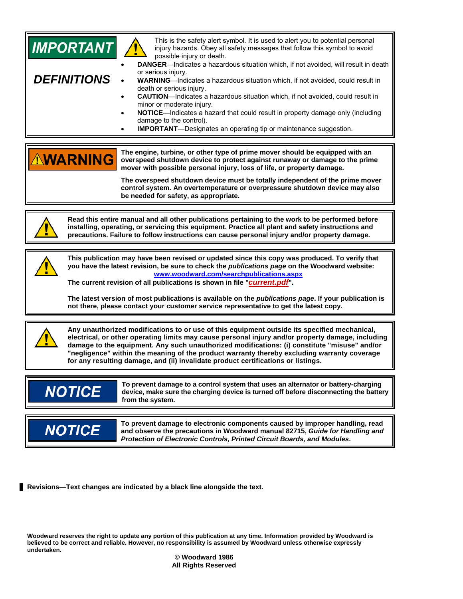

**Revisions—Text changes are indicated by a black line alongside the text.** 

**Woodward reserves the right to update any portion of this publication at any time. Information provided by Woodward is believed to be correct and reliable. However, no responsibility is assumed by Woodward unless otherwise expressly undertaken.** 

**© Woodward 1986 All Rights Reserved**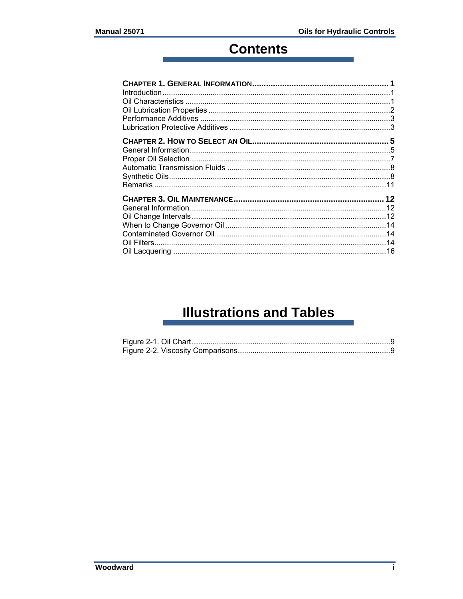## **Contents**

## **Illustrations and Tables**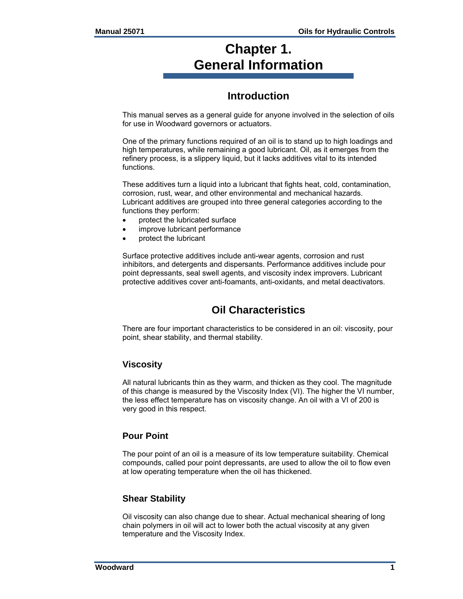## **Chapter 1. General Information**

## **Introduction**

This manual serves as a general guide for anyone involved in the selection of oils for use in Woodward governors or actuators.

One of the primary functions required of an oil is to stand up to high loadings and high temperatures, while remaining a good lubricant. Oil, as it emerges from the refinery process, is a slippery liquid, but it lacks additives vital to its intended functions.

These additives turn a liquid into a lubricant that fights heat, cold, contamination, corrosion, rust, wear, and other environmental and mechanical hazards. Lubricant additives are grouped into three general categories according to the functions they perform:

- protect the lubricated surface
- improve lubricant performance
- protect the lubricant

Surface protective additives include anti-wear agents, corrosion and rust inhibitors, and detergents and dispersants. Performance additives include pour point depressants, seal swell agents, and viscosity index improvers. Lubricant protective additives cover anti-foamants, anti-oxidants, and metal deactivators.

## **Oil Characteristics**

There are four important characteristics to be considered in an oil: viscosity, pour point, shear stability, and thermal stability.

### **Viscosity**

All natural lubricants thin as they warm, and thicken as they cool. The magnitude of this change is measured by the Viscosity Index (VI). The higher the VI number, the less effect temperature has on viscosity change. An oil with a VI of 200 is very good in this respect.

### **Pour Point**

The pour point of an oil is a measure of its low temperature suitability. Chemical compounds, called pour point depressants, are used to allow the oil to flow even at low operating temperature when the oil has thickened.

#### **Shear Stability**

Oil viscosity can also change due to shear. Actual mechanical shearing of long chain polymers in oil will act to lower both the actual viscosity at any given temperature and the Viscosity Index.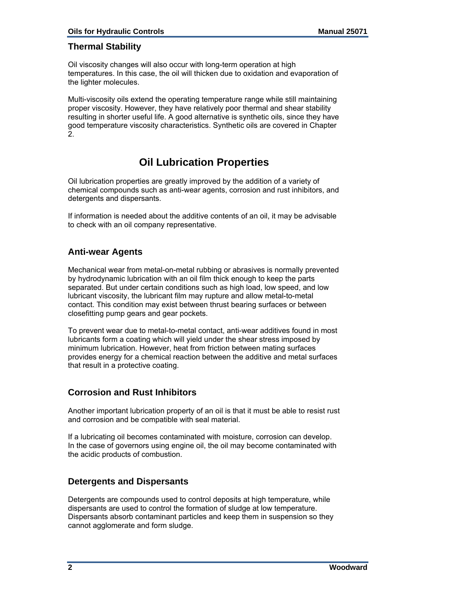### **Thermal Stability**

Oil viscosity changes will also occur with long-term operation at high temperatures. In this case, the oil will thicken due to oxidation and evaporation of the lighter molecules.

Multi-viscosity oils extend the operating temperature range while still maintaining proper viscosity. However, they have relatively poor thermal and shear stability resulting in shorter useful life. A good alternative is synthetic oils, since they have good temperature viscosity characteristics. Synthetic oils are covered in Chapter 2.

## **Oil Lubrication Properties**

Oil lubrication properties are greatly improved by the addition of a variety of chemical compounds such as anti-wear agents, corrosion and rust inhibitors, and detergents and dispersants.

If information is needed about the additive contents of an oil, it may be advisable to check with an oil company representative.

### **Anti-wear Agents**

Mechanical wear from metal-on-metal rubbing or abrasives is normally prevented by hydrodynamic lubrication with an oil film thick enough to keep the parts separated. But under certain conditions such as high load, low speed, and low lubricant viscosity, the lubricant film may rupture and allow metal-to-metal contact. This condition may exist between thrust bearing surfaces or between closefitting pump gears and gear pockets.

To prevent wear due to metal-to-metal contact, anti-wear additives found in most lubricants form a coating which will yield under the shear stress imposed by minimum lubrication. However, heat from friction between mating surfaces provides energy for a chemical reaction between the additive and metal surfaces that result in a protective coating.

### **Corrosion and Rust Inhibitors**

Another important lubrication property of an oil is that it must be able to resist rust and corrosion and be compatible with seal material.

If a lubricating oil becomes contaminated with moisture, corrosion can develop. In the case of governors using engine oil, the oil may become contaminated with the acidic products of combustion.

#### **Detergents and Dispersants**

Detergents are compounds used to control deposits at high temperature, while dispersants are used to control the formation of sludge at low temperature. Dispersants absorb contaminant particles and keep them in suspension so they cannot agglomerate and form sludge.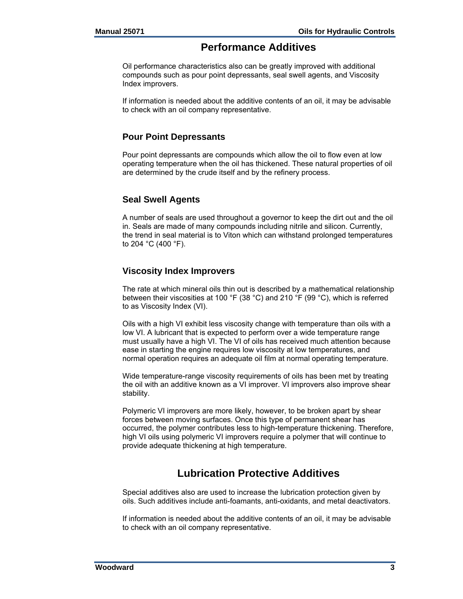## **Performance Additives**

Oil performance characteristics also can be greatly improved with additional compounds such as pour point depressants, seal swell agents, and Viscosity Index improvers.

If information is needed about the additive contents of an oil, it may be advisable to check with an oil company representative.

### **Pour Point Depressants**

Pour point depressants are compounds which allow the oil to flow even at low operating temperature when the oil has thickened. These natural properties of oil are determined by the crude itself and by the refinery process.

## **Seal Swell Agents**

A number of seals are used throughout a governor to keep the dirt out and the oil in. Seals are made of many compounds including nitrile and silicon. Currently, the trend in seal material is to Viton which can withstand prolonged temperatures to 204 °C (400 °F).

## **Viscosity Index Improvers**

The rate at which mineral oils thin out is described by a mathematical relationship between their viscosities at 100 °F (38 °C) and 210 °F (99 °C), which is referred to as Viscosity Index (VI).

Oils with a high VI exhibit less viscosity change with temperature than oils with a low VI. A lubricant that is expected to perform over a wide temperature range must usually have a high VI. The VI of oils has received much attention because ease in starting the engine requires low viscosity at low temperatures, and normal operation requires an adequate oil film at normal operating temperature.

Wide temperature-range viscosity requirements of oils has been met by treating the oil with an additive known as a VI improver. VI improvers also improve shear stability.

Polymeric VI improvers are more likely, however, to be broken apart by shear forces between moving surfaces. Once this type of permanent shear has occurred, the polymer contributes less to high-temperature thickening. Therefore, high VI oils using polymeric VI improvers require a polymer that will continue to provide adequate thickening at high temperature.

## **Lubrication Protective Additives**

Special additives also are used to increase the lubrication protection given by oils. Such additives include anti-foamants, anti-oxidants, and metal deactivators.

If information is needed about the additive contents of an oil, it may be advisable to check with an oil company representative.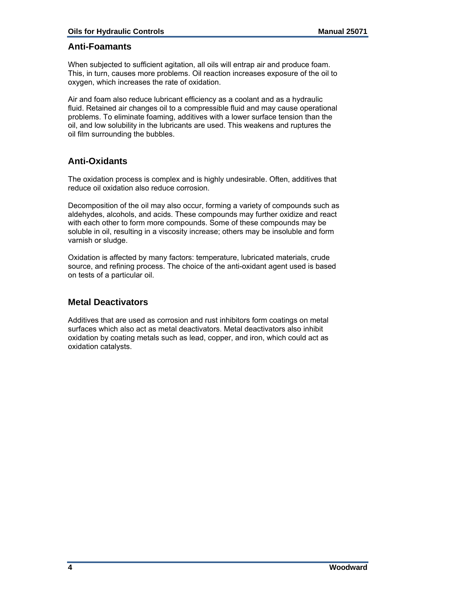#### **Anti-Foamants**

When subjected to sufficient agitation, all oils will entrap air and produce foam. This, in turn, causes more problems. Oil reaction increases exposure of the oil to oxygen, which increases the rate of oxidation.

Air and foam also reduce lubricant efficiency as a coolant and as a hydraulic fluid. Retained air changes oil to a compressible fluid and may cause operational problems. To eliminate foaming, additives with a lower surface tension than the oil, and low solubility in the lubricants are used. This weakens and ruptures the oil film surrounding the bubbles.

### **Anti-Oxidants**

The oxidation process is complex and is highly undesirable. Often, additives that reduce oil oxidation also reduce corrosion.

Decomposition of the oil may also occur, forming a variety of compounds such as aldehydes, alcohols, and acids. These compounds may further oxidize and react with each other to form more compounds. Some of these compounds may be soluble in oil, resulting in a viscosity increase; others may be insoluble and form varnish or sludge.

Oxidation is affected by many factors: temperature, lubricated materials, crude source, and refining process. The choice of the anti-oxidant agent used is based on tests of a particular oil.

#### **Metal Deactivators**

Additives that are used as corrosion and rust inhibitors form coatings on metal surfaces which also act as metal deactivators. Metal deactivators also inhibit oxidation by coating metals such as lead, copper, and iron, which could act as oxidation catalysts.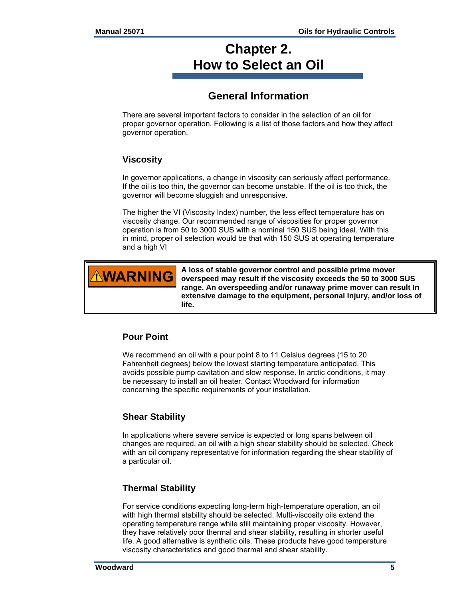## **Chapter 2. How to Select an Oil**

## **General Information**

There are several important factors to consider in the selection of an oil for proper governor operation. Following is a list of those factors and how they affect governor operation.

## **Viscosity**

In governor applications, a change in viscosity can seriously affect performance. If the oil is too thin, the governor can become unstable. If the oil is too thick, the governor will become sluggish and unresponsive.

The higher the VI (Viscosity Index) number, the less effect temperature has on viscosity change. Our recommended range of viscosities for proper governor operation is from 50 to 3000 SUS with a nominal 150 SUS being ideal. With this in mind, proper oil selection would be that with 150 SUS at operating temperature and a high VI



**A loss of stable governor control and possible prime mover overspeed may result if the viscosity exceeds the 50 to 3000 SUS range. An overspeeding and/or runaway prime mover can result In extensive damage to the equipment, personal Injury, and/or loss of life.** 

## **Pour Point**

We recommend an oil with a pour point 8 to 11 Celsius degrees (15 to 20 Fahrenheit degrees) below the lowest starting temperature anticipated. This avoids possible pump cavitation and slow response. In arctic conditions, it may be necessary to install an oil heater. Contact Woodward for information concerning the specific requirements of your installation.

### **Shear Stability**

In applications where severe service is expected or long spans between oil changes are required, an oil with a high shear stability should be selected. Check with an oil company representative for information regarding the shear stability of a particular oil.

### **Thermal Stability**

For service conditions expecting long-term high-temperature operation, an oil with high thermal stability should be selected. Multi-viscosity oils extend the operating temperature range while still maintaining proper viscosity. However, they have relatively poor thermal and shear stability, resulting in shorter useful life. A good alternative is synthetic oils. These products have good temperature viscosity characteristics and good thermal and shear stability.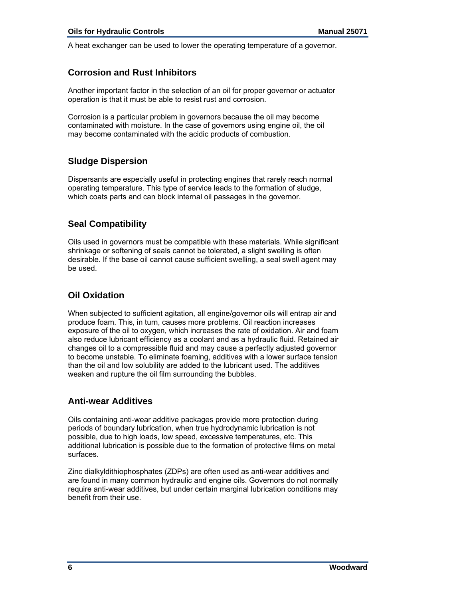A heat exchanger can be used to lower the operating temperature of a governor.

### **Corrosion and Rust Inhibitors**

Another important factor in the selection of an oil for proper governor or actuator operation is that it must be able to resist rust and corrosion.

Corrosion is a particular problem in governors because the oil may become contaminated with moisture. In the case of governors using engine oil, the oil may become contaminated with the acidic products of combustion.

## **Sludge Dispersion**

Dispersants are especially useful in protecting engines that rarely reach normal operating temperature. This type of service leads to the formation of sludge, which coats parts and can block internal oil passages in the governor.

## **Seal Compatibility**

Oils used in governors must be compatible with these materials. While significant shrinkage or softening of seals cannot be tolerated, a slight swelling is often desirable. If the base oil cannot cause sufficient swelling, a seal swell agent may be used.

## **Oil Oxidation**

When subjected to sufficient agitation, all engine/governor oils will entrap air and produce foam. This, in turn, causes more problems. Oil reaction increases exposure of the oil to oxygen, which increases the rate of oxidation. Air and foam also reduce lubricant efficiency as a coolant and as a hydraulic fluid. Retained air changes oil to a compressible fluid and may cause a perfectly adjusted governor to become unstable. To eliminate foaming, additives with a lower surface tension than the oil and low solubility are added to the lubricant used. The additives weaken and rupture the oil film surrounding the bubbles.

### **Anti-wear Additives**

Oils containing anti-wear additive packages provide more protection during periods of boundary lubrication, when true hydrodynamic lubrication is not possible, due to high loads, low speed, excessive temperatures, etc. This additional lubrication is possible due to the formation of protective films on metal surfaces.

Zinc dialkyldithiophosphates (ZDPs) are often used as anti-wear additives and are found in many common hydraulic and engine oils. Governors do not normally require anti-wear additives, but under certain marginal lubrication conditions may benefit from their use.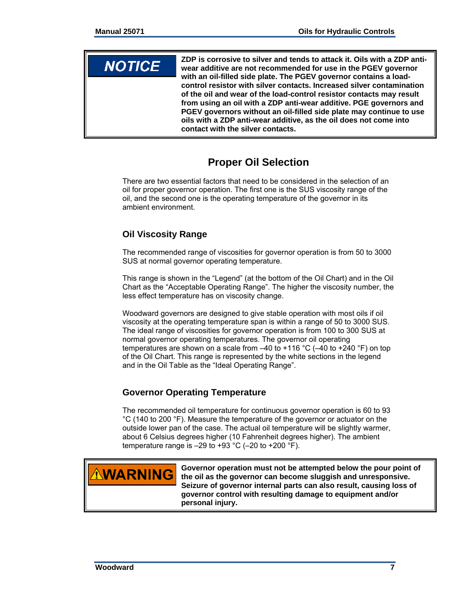## **NOTICE**

**ZDP is corrosive to silver and tends to attack it. Oils with a ZDP antiwear additive are not recommended for use in the PGEV governor with an oil-filled side plate. The PGEV governor contains a loadcontrol resistor with silver contacts. Increased silver contamination of the oil and wear of the load-control resistor contacts may result from using an oil with a ZDP anti-wear additive. PGE governors and PGEV governors without an oil-filled side plate may continue to use oils with a ZDP anti-wear additive, as the oil does not come into contact with the silver contacts.** 

## **Proper Oil Selection**

There are two essential factors that need to be considered in the selection of an oil for proper governor operation. The first one is the SUS viscosity range of the oil, and the second one is the operating temperature of the governor in its ambient environment.

## **Oil Viscosity Range**

The recommended range of viscosities for governor operation is from 50 to 3000 SUS at normal governor operating temperature.

This range is shown in the "Legend" (at the bottom of the Oil Chart) and in the Oil Chart as the "Acceptable Operating Range". The higher the viscosity number, the less effect temperature has on viscosity change.

Woodward governors are designed to give stable operation with most oils if oil viscosity at the operating temperature span is within a range of 50 to 3000 SUS. The ideal range of viscosities for governor operation is from 100 to 300 SUS at normal governor operating temperatures. The governor oil operating temperatures are shown on a scale from –40 to +116 °C (–40 to +240 °F) on top of the Oil Chart. This range is represented by the white sections in the legend and in the Oil Table as the "Ideal Operating Range".

## **Governor Operating Temperature**

The recommended oil temperature for continuous governor operation is 60 to 93 °C (140 to 200 °F). Measure the temperature of the governor or actuator on the outside lower pan of the case. The actual oil temperature will be slightly warmer, about 6 Celsius degrees higher (10 Fahrenheit degrees higher). The ambient temperature range is  $-29$  to  $+93$  °C ( $-20$  to  $+200$  °F).



**Governor operation must not be attempted below the pour point of the oil as the governor can become sluggish and unresponsive. Seizure of governor internal parts can also result, causing loss of governor control with resulting damage to equipment and/or personal injury.**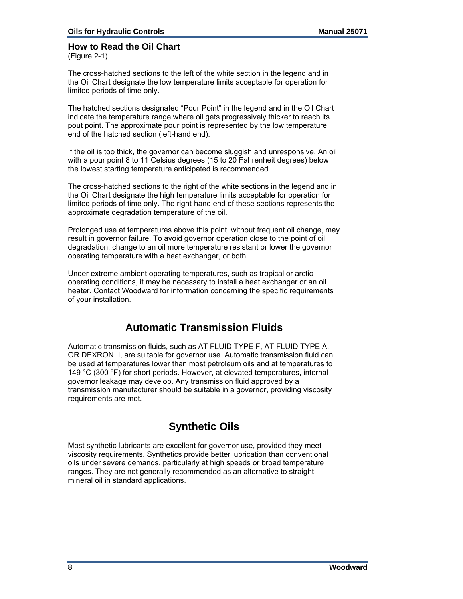## **How to Read the Oil Chart**

(Figure 2-1)

The cross-hatched sections to the left of the white section in the legend and in the Oil Chart designate the low temperature limits acceptable for operation for limited periods of time only.

The hatched sections designated "Pour Point" in the legend and in the Oil Chart indicate the temperature range where oil gets progressively thicker to reach its pout point. The approximate pour point is represented by the low temperature end of the hatched section (left-hand end).

If the oil is too thick, the governor can become sluggish and unresponsive. An oil with a pour point 8 to 11 Celsius degrees (15 to 20 Fahrenheit degrees) below the lowest starting temperature anticipated is recommended.

The cross-hatched sections to the right of the white sections in the legend and in the Oil Chart designate the high temperature limits acceptable for operation for limited periods of time only. The right-hand end of these sections represents the approximate degradation temperature of the oil.

Prolonged use at temperatures above this point, without frequent oil change, may result in governor failure. To avoid governor operation close to the point of oil degradation, change to an oil more temperature resistant or lower the governor operating temperature with a heat exchanger, or both.

Under extreme ambient operating temperatures, such as tropical or arctic operating conditions, it may be necessary to install a heat exchanger or an oil heater. Contact Woodward for information concerning the specific requirements of your installation.

## **Automatic Transmission Fluids**

Automatic transmission fluids, such as AT FLUID TYPE F, AT FLUID TYPE A, OR DEXRON II, are suitable for governor use. Automatic transmission fluid can be used at temperatures lower than most petroleum oils and at temperatures to 149 °C (300 °F) for short periods. However, at elevated temperatures, internal governor leakage may develop. Any transmission fluid approved by a transmission manufacturer should be suitable in a governor, providing viscosity requirements are met.

## **Synthetic Oils**

Most synthetic lubricants are excellent for governor use, provided they meet viscosity requirements. Synthetics provide better lubrication than conventional oils under severe demands, particularly at high speeds or broad temperature ranges. They are not generally recommended as an alternative to straight mineral oil in standard applications.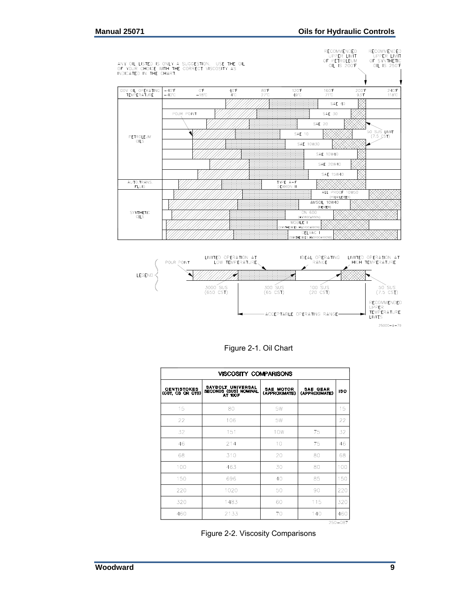



Figure 2-1. Oil Chart

| <b>VISCOSITY COMPARISONS</b>           |                                                                     |                                   |                                  |             |
|----------------------------------------|---------------------------------------------------------------------|-----------------------------------|----------------------------------|-------------|
| <b>CENTISTOKES</b><br>(CST, CS OR CTS) | <b>SAYBOLT UNIVERSAL</b><br><b>SECONDS (SUS) NOMINAL</b><br>AT 100F | <b>SAE MOTOR</b><br>(APPROXIMATE) | <b>SAE GEAR</b><br>(APPROXIMATE) | 180         |
| 15                                     | 80                                                                  | 5W                                |                                  | 15          |
| 22                                     | 106                                                                 | 5W                                |                                  | 22          |
| 32                                     | 151                                                                 | 10 <sub>W</sub>                   | 75                               | 32          |
| 46                                     | 214                                                                 | 10                                | 75                               | 46          |
| 68                                     | 310                                                                 | 20                                | 80                               | 68          |
| 100                                    | 463                                                                 | 30                                | 80                               | 100         |
| 150                                    | 696                                                                 | 40                                | 85                               | 150         |
| 220                                    | 1020                                                                | 50                                | 90                               | 220         |
| 320                                    | 1483                                                                | 60                                | 115                              | 320         |
| 460                                    | 2133                                                                | 70                                | 140                              | 460         |
|                                        |                                                                     |                                   |                                  | $250 - 087$ |

Figure 2-2. Viscosity Comparisons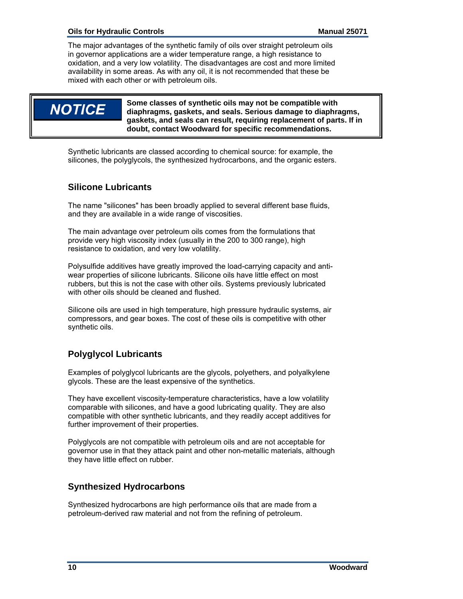The major advantages of the synthetic family of oils over straight petroleum oils in governor applications are a wider temperature range, a high resistance to oxidation, and a very low volatility. The disadvantages are cost and more limited availability in some areas. As with any oil, it is not recommended that these be mixed with each other or with petroleum oils.

## **NOTICE**

**Some classes of synthetic oils may not be compatible with diaphragms, gaskets, and seals. Serious damage to diaphragms, gaskets, and seals can result, requiring replacement of parts. If in doubt, contact Woodward for specific recommendations.** 

Synthetic lubricants are classed according to chemical source: for example, the silicones, the polyglycols, the synthesized hydrocarbons, and the organic esters.

## **Silicone Lubricants**

The name "silicones" has been broadly applied to several different base fluids, and they are available in a wide range of viscosities.

The main advantage over petroleum oils comes from the formulations that provide very high viscosity index (usually in the 200 to 300 range), high resistance to oxidation, and very low volatility.

Polysulfide additives have greatly improved the load-carrying capacity and antiwear properties of silicone lubricants. Silicone oils have little effect on most rubbers, but this is not the case with other oils. Systems previously lubricated with other oils should be cleaned and flushed.

Silicone oils are used in high temperature, high pressure hydraulic systems, air compressors, and gear boxes. The cost of these oils is competitive with other synthetic oils.

## **Polyglycol Lubricants**

Examples of polyglycol lubricants are the glycols, polyethers, and polyalkylene glycols. These are the least expensive of the synthetics.

They have excellent viscosity-temperature characteristics, have a low volatility comparable with silicones, and have a good lubricating quality. They are also compatible with other synthetic lubricants, and they readily accept additives for further improvement of their properties.

Polyglycols are not compatible with petroleum oils and are not acceptable for governor use in that they attack paint and other non-metallic materials, although they have little effect on rubber.

## **Synthesized Hydrocarbons**

Synthesized hydrocarbons are high performance oils that are made from a petroleum-derived raw material and not from the refining of petroleum.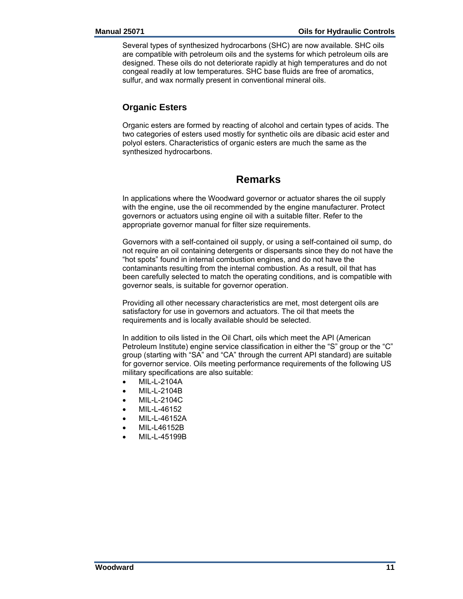Several types of synthesized hydrocarbons (SHC) are now available. SHC oils are compatible with petroleum oils and the systems for which petroleum oils are designed. These oils do not deteriorate rapidly at high temperatures and do not congeal readily at low temperatures. SHC base fluids are free of aromatics, sulfur, and wax normally present in conventional mineral oils.

## **Organic Esters**

Organic esters are formed by reacting of alcohol and certain types of acids. The two categories of esters used mostly for synthetic oils are dibasic acid ester and polyol esters. Characteristics of organic esters are much the same as the synthesized hydrocarbons.

## **Remarks**

In applications where the Woodward governor or actuator shares the oil supply with the engine, use the oil recommended by the engine manufacturer. Protect governors or actuators using engine oil with a suitable filter. Refer to the appropriate governor manual for filter size requirements.

Governors with a self-contained oil supply, or using a self-contained oil sump, do not require an oil containing detergents or dispersants since they do not have the "hot spots" found in internal combustion engines, and do not have the contaminants resulting from the internal combustion. As a result, oil that has been carefully selected to match the operating conditions, and is compatible with governor seals, is suitable for governor operation.

Providing all other necessary characteristics are met, most detergent oils are satisfactory for use in governors and actuators. The oil that meets the requirements and is locally available should be selected.

In addition to oils listed in the Oil Chart, oils which meet the API (American Petroleum Institute) engine service classification in either the "S" group or the "C" group (starting with "SA" and "CA" through the current API standard) are suitable for governor service. Oils meeting performance requirements of the following US military specifications are also suitable:

- MIL-L-2104A
- MIL-L-2104B
- MIL-L-2104C
- MIL-L-46152
- MIL-L-46152A
- MIL-L46152B
- MIL-L-45199B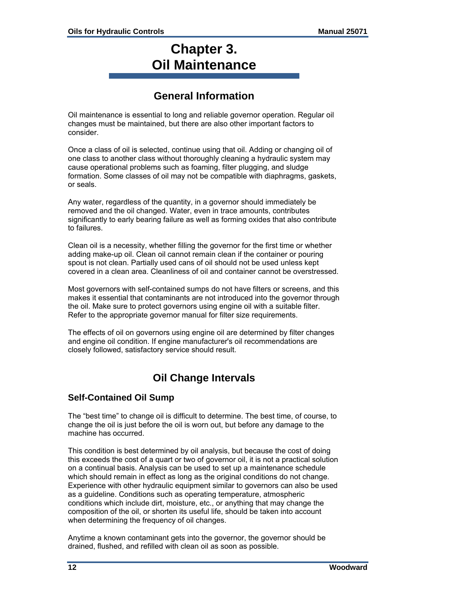## **Chapter 3. Oil Maintenance**

## **General Information**

Oil maintenance is essential to long and reliable governor operation. Regular oil changes must be maintained, but there are also other important factors to consider.

Once a class of oil is selected, continue using that oil. Adding or changing oil of one class to another class without thoroughly cleaning a hydraulic system may cause operational problems such as foaming, filter plugging, and sludge formation. Some classes of oil may not be compatible with diaphragms, gaskets, or seals.

Any water, regardless of the quantity, in a governor should immediately be removed and the oil changed. Water, even in trace amounts, contributes significantly to early bearing failure as well as forming oxides that also contribute to failures.

Clean oil is a necessity, whether filling the governor for the first time or whether adding make-up oil. Clean oil cannot remain clean if the container or pouring spout is not clean. Partially used cans of oil should not be used unless kept covered in a clean area. Cleanliness of oil and container cannot be overstressed.

Most governors with self-contained sumps do not have filters or screens, and this makes it essential that contaminants are not introduced into the governor through the oil. Make sure to protect governors using engine oil with a suitable filter. Refer to the appropriate governor manual for filter size requirements.

The effects of oil on governors using engine oil are determined by filter changes and engine oil condition. If engine manufacturer's oil recommendations are closely followed, satisfactory service should result.

## **Oil Change Intervals**

### **Self-Contained Oil Sump**

The "best time" to change oil is difficult to determine. The best time, of course, to change the oil is just before the oil is worn out, but before any damage to the machine has occurred.

This condition is best determined by oil analysis, but because the cost of doing this exceeds the cost of a quart or two of governor oil, it is not a practical solution on a continual basis. Analysis can be used to set up a maintenance schedule which should remain in effect as long as the original conditions do not change. Experience with other hydraulic equipment similar to governors can also be used as a guideline. Conditions such as operating temperature, atmospheric conditions which include dirt, moisture, etc., or anything that may change the composition of the oil, or shorten its useful life, should be taken into account when determining the frequency of oil changes.

Anytime a known contaminant gets into the governor, the governor should be drained, flushed, and refilled with clean oil as soon as possible.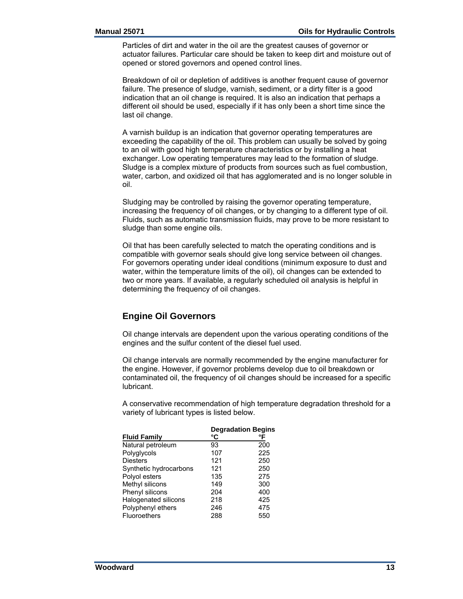Particles of dirt and water in the oil are the greatest causes of governor or actuator failures. Particular care should be taken to keep dirt and moisture out of opened or stored governors and opened control lines.

Breakdown of oil or depletion of additives is another frequent cause of governor failure. The presence of sludge, varnish, sediment, or a dirty filter is a good indication that an oil change is required. It is also an indication that perhaps a different oil should be used, especially if it has only been a short time since the last oil change.

A varnish buildup is an indication that governor operating temperatures are exceeding the capability of the oil. This problem can usually be solved by going to an oil with good high temperature characteristics or by installing a heat exchanger. Low operating temperatures may lead to the formation of sludge. Sludge is a complex mixture of products from sources such as fuel combustion, water, carbon, and oxidized oil that has agglomerated and is no longer soluble in oil.

Sludging may be controlled by raising the governor operating temperature, increasing the frequency of oil changes, or by changing to a different type of oil. Fluids, such as automatic transmission fluids, may prove to be more resistant to sludge than some engine oils.

Oil that has been carefully selected to match the operating conditions and is compatible with governor seals should give long service between oil changes. For governors operating under ideal conditions (minimum exposure to dust and water, within the temperature limits of the oil), oil changes can be extended to two or more years. If available, a regularly scheduled oil analysis is helpful in determining the frequency of oil changes.

## **Engine Oil Governors**

Oil change intervals are dependent upon the various operating conditions of the engines and the sulfur content of the diesel fuel used.

Oil change intervals are normally recommended by the engine manufacturer for the engine. However, if governor problems develop due to oil breakdown or contaminated oil, the frequency of oil changes should be increased for a specific lubricant.

A conservative recommendation of high temperature degradation threshold for a variety of lubricant types is listed below.

|                        |     | <b>Degradation Begins</b> |
|------------------------|-----|---------------------------|
| <b>Fluid Family</b>    | °C  | °F                        |
| Natural petroleum      | 93  | 200                       |
| Polyglycols            | 107 | 225                       |
| <b>Diesters</b>        | 121 | 250                       |
| Synthetic hydrocarbons | 121 | 250                       |
| Polyol esters          | 135 | 275                       |
| Methyl silicons        | 149 | 300                       |
| Phenyl silicons        | 204 | 400                       |
| Halogenated silicons   | 218 | 425                       |
| Polyphenyl ethers      | 246 | 475                       |
| <b>Fluoroethers</b>    | 288 | 550                       |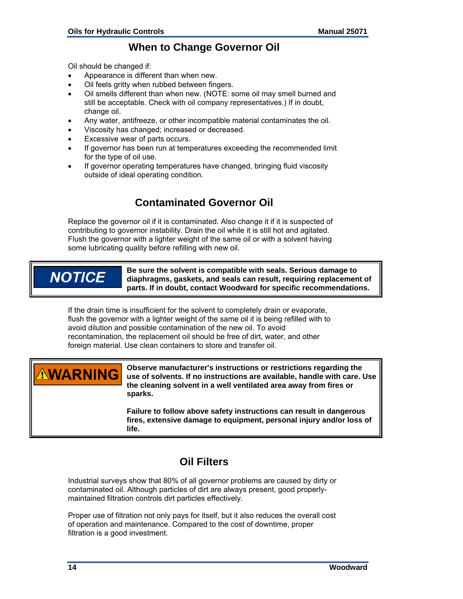## **When to Change Governor Oil**

Oil should be changed if:

- Appearance is different than when new.
- Oil feels gritty when rubbed between fingers.
- Oil smells different than when new. (NOTE: some oil may smell burned and still be acceptable. Check with oil company representatives.) If in doubt, change oil.
- Any water, antifreeze, or other incompatible material contaminates the oil.
- Viscosity has changed; increased or decreased.
- Excessive wear of parts occurs.
- If governor has been run at temperatures exceeding the recommended limit for the type of oil use.
- If governor operating temperatures have changed, bringing fluid viscosity outside of ideal operating condition.

## **Contaminated Governor Oil**

Replace the governor oil if it is contaminated. Also change it if it is suspected of contributing to governor instability. Drain the oil while it is still hot and agitated. Flush the governor with a lighter weight of the same oil or with a solvent having some lubricating quality before refilling with new oil.

## **NOTICE**

**Be sure the solvent is compatible with seals. Serious damage to diaphragms, gaskets, and seals can result, requiring replacement of parts. If in doubt, contact Woodward for specific recommendations.** 

If the drain time is insufficient for the solvent to completely drain or evaporate, flush the governor with a lighter weight of the same oil it is being refilled with to avoid dilution and possible contamination of the new oil. To avoid recontamination, the replacement oil should be free of dirt, water, and other foreign material. Use clean containers to store and transfer oil.



**Observe manufacturer's instructions or restrictions regarding the use of solvents. If no instructions are available, handle with care. Use the cleaning solvent in a well ventilated area away from fires or sparks.** 

**Failure to follow above safety instructions can result in dangerous fires, extensive damage to equipment, personal injury and/or loss of life.** 

## **Oil Filters**

Industrial surveys show that 80% of all governor problems are caused by dirty or contaminated oil. Although particles of dirt are always present, good properlymaintained filtration controls dirt particles effectively.

Proper use of filtration not only pays for itself, but it also reduces the overall cost of operation and maintenance. Compared to the cost of downtime, proper filtration is a good investment.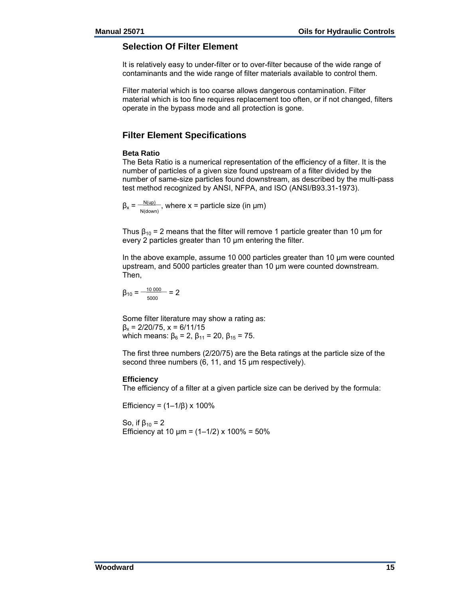#### **Selection Of Filter Element**

It is relatively easy to under-filter or to over-filter because of the wide range of contaminants and the wide range of filter materials available to control them.

Filter material which is too coarse allows dangerous contamination. Filter material which is too fine requires replacement too often, or if not changed, filters operate in the bypass mode and all protection is gone.

### **Filter Element Specifications**

#### **Beta Ratio**

The Beta Ratio is a numerical representation of the efficiency of a filter. It is the number of particles of a given size found upstream of a filter divided by the number of same-size particles found downstream, as described by the multi-pass test method recognized by ANSI, NFPA, and ISO (ANSI/B93.31-1973).

 $\beta_x = \frac{N(\mu p)}{N(down)}$ , where x = particle size (in µm)

Thus  $\beta_{10}$  = 2 means that the filter will remove 1 particle greater than 10 µm for every 2 particles greater than 10 µm entering the filter.

In the above example, assume 10 000 particles greater than 10 µm were counted upstream, and 5000 particles greater than 10 µm were counted downstream. Then,

 $\beta_{10} = \frac{-10\,000}{\phantom{0}} = 2$ 5000

Some filter literature may show a rating as:  $β<sub>x</sub> = 2/20/75$ ,  $x = 6/11/15$ which means:  $\beta_6 = 2$ ,  $\beta_{11} = 20$ ,  $\beta_{15} = 75$ .

The first three numbers (2/20/75) are the Beta ratings at the particle size of the second three numbers (6, 11, and 15 µm respectively).

#### **Efficiency**

The efficiency of a filter at a given particle size can be derived by the formula:

Efficiency = (1–1/β) x 100%

So, if  $β_{10} = 2$ Efficiency at 10  $\mu$ m = (1–1/2) x 100% = 50%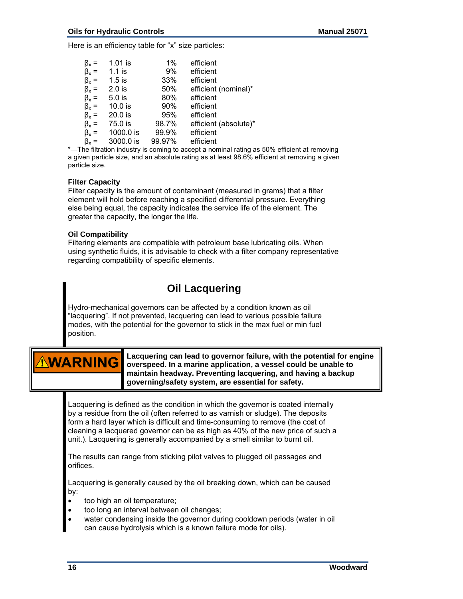Here is an efficiency table for "x" size particles:

| $\beta_x =$ | 1.01 is   | 1%     | efficient             |
|-------------|-----------|--------|-----------------------|
| $\beta_x =$ | $1.1$ is  | 9%     | efficient             |
| $\beta_x =$ | $1.5$ is  | 33%    | efficient             |
| $\beta_x =$ | $2.0$ is  | 50%    | efficient (nominal)*  |
| $\beta_x =$ | $5.0$ is  | 80%    | efficient             |
| $\beta_x =$ | $10.0$ is | 90%    | efficient             |
| $\beta_x =$ | 20.0 is   | 95%    | efficient             |
| $\beta_x =$ | 75.0 is   | 98.7%  | efficient (absolute)* |
| $\beta_x =$ | 1000.0 is | 99.9%  | efficient             |
| $\beta_x =$ | 3000.0 is | 99.97% | efficient             |
|             |           |        |                       |

\*—The filtration industry is coming to accept a nominal rating as 50% efficient at removing a given particle size, and an absolute rating as at least 98.6% efficient at removing a given particle size.

#### **Filter Capacity**

Filter capacity is the amount of contaminant (measured in grams) that a filter element will hold before reaching a specified differential pressure. Everything else being equal, the capacity indicates the service life of the element. The greater the capacity, the longer the life.

#### **Oil Compatibility**

Filtering elements are compatible with petroleum base lubricating oils. When using synthetic fluids, it is advisable to check with a filter company representative regarding compatibility of specific elements.

## **Oil Lacquering**

Hydro-mechanical governors can be affected by a condition known as oil "lacquering". If not prevented, lacquering can lead to various possible failure modes, with the potential for the governor to stick in the max fuel or min fuel position.

# **ARNING**

**Lacquering can lead to governor failure, with the potential for engine overspeed. In a marine application, a vessel could be unable to maintain headway. Preventing lacquering, and having a backup governing/safety system, are essential for safety.** 

Lacquering is defined as the condition in which the governor is coated internally by a residue from the oil (often referred to as varnish or sludge). The deposits form a hard layer which is difficult and time-consuming to remove (the cost of cleaning a lacquered governor can be as high as 40% of the new price of such a unit.). Lacquering is generally accompanied by a smell similar to burnt oil.

The results can range from sticking pilot valves to plugged oil passages and orifices.

Lacquering is generally caused by the oil breaking down, which can be caused by:

- too high an oil temperature;
- too long an interval between oil changes;
- water condensing inside the governor during cooldown periods (water in oil can cause hydrolysis which is a known failure mode for oils).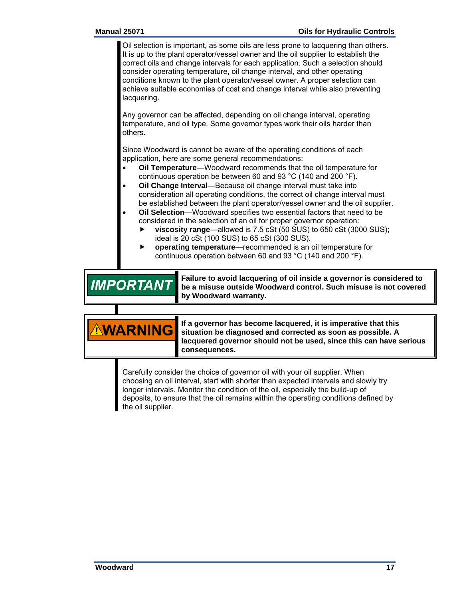Oil selection is important, as some oils are less prone to lacquering than others. It is up to the plant operator/vessel owner and the oil supplier to establish the correct oils and change intervals for each application. Such a selection should consider operating temperature, oil change interval, and other operating conditions known to the plant operator/vessel owner. A proper selection can achieve suitable economies of cost and change interval while also preventing lacquering.

Any governor can be affected, depending on oil change interval, operating temperature, and oil type. Some governor types work their oils harder than others.

Since Woodward is cannot be aware of the operating conditions of each application, here are some general recommendations:

- **Oil Temperature**—Woodward recommends that the oil temperature for continuous operation be between 60 and 93 °C (140 and 200 °F).
- **Oil Change Interval**—Because oil change interval must take into consideration all operating conditions, the correct oil change interval must be established between the plant operator/vessel owner and the oil supplier.
- **Oil Selection**—Woodward specifies two essential factors that need to be considered in the selection of an oil for proper governor operation:
	- **viscosity range**—allowed is 7.5 cSt (50 SUS) to 650 cSt (3000 SUS); ideal is 20 cSt (100 SUS) to 65 cSt (300 SUS).
	- **operating temperature**—recommended is an oil temperature for continuous operation between 60 and 93 °C (140 and 200 °F).

**Failure to avoid lacquering of oil inside a governor is considered to IMPORTANT be a misuse outside Woodward control. Such misuse is not covered by Woodward warranty.** 

> **If a governor has become lacquered, it is imperative that this situation be diagnosed and corrected as soon as possible. A lacquered governor should not be used, since this can have serious consequences.**

Carefully consider the choice of governor oil with your oil supplier. When choosing an oil interval, start with shorter than expected intervals and slowly try longer intervals. Monitor the condition of the oil, especially the build-up of deposits, to ensure that the oil remains within the operating conditions defined by the oil supplier.

**NING**